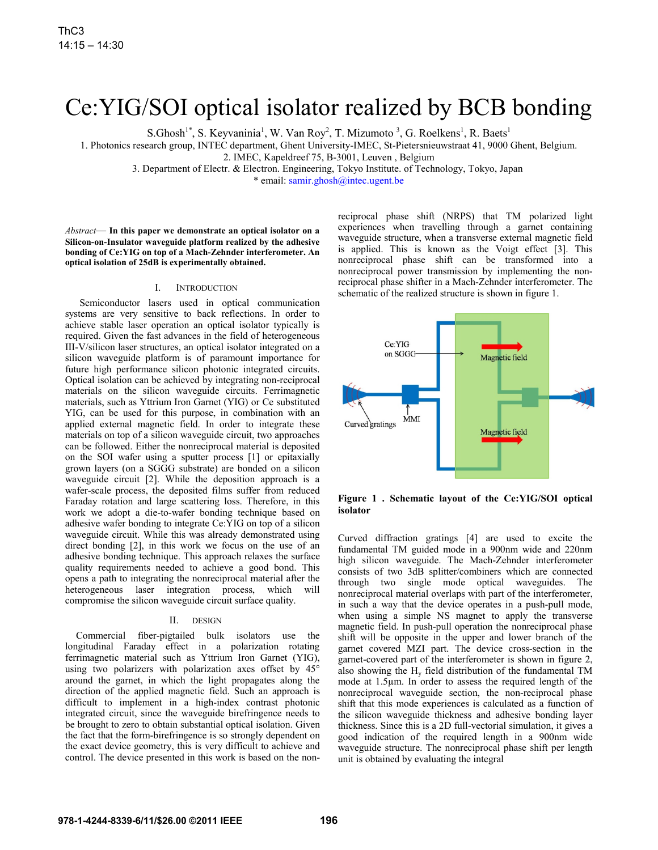# Ce:YIG/SOI optical isolator realized by BCB bonding

S.Ghosh<sup>1\*</sup>, S. Keyvaninia<sup>1</sup>, W. Van Roy<sup>2</sup>, T. Mizumoto<sup>3</sup>, G. Roelkens<sup>1</sup>, R. Baets<sup>1</sup>

1. Photonics research group, INTEC department, Ghent University-IMEC, St-Pietersnieuwstraat 41, 9000 Ghent, Belgium.

2. IMEC, Kapeldreef 75, B-3001, Leuven , Belgium

3. Department of Electr. & Electron. Engineering, Tokyo Institute. of Technology, Tokyo, Japan

\* email: samir.ghosh@intec.ugent.be

*Abstract*— **In this paper we demonstrate an optical isolator on a Silicon-on-Insulator waveguide platform realized by the adhesive bonding of Ce:YIG on top of a Mach-Zehnder interferometer. An optical isolation of 25dB is experimentally obtained.**

## I. INTRODUCTION

Semiconductor lasers used in optical communication systems are very sensitive to back reflections. In order to achieve stable laser operation an optical isolator typically is required. Given the fast advances in the field of heterogeneous III-V/silicon laser structures, an optical isolator integrated on a silicon waveguide platform is of paramount importance for future high performance silicon photonic integrated circuits. Optical isolation can be achieved by integrating non-reciprocal materials on the silicon waveguide circuits. Ferrimagnetic materials, such as Yttrium Iron Garnet (YIG) or Ce substituted YIG, can be used for this purpose, in combination with an applied external magnetic field. In order to integrate these materials on top of a silicon waveguide circuit, two approaches can be followed. Either the nonreciprocal material is deposited on the SOI wafer using a sputter process [1] or epitaxially grown layers (on a SGGG substrate) are bonded on a silicon waveguide circuit [2]. While the deposition approach is a wafer-scale process, the deposited films suffer from reduced Faraday rotation and large scattering loss. Therefore, in this work we adopt a die-to-wafer bonding technique based on adhesive wafer bonding to integrate Ce:YIG on top of a silicon waveguide circuit. While this was already demonstrated using direct bonding [2], in this work we focus on the use of an adhesive bonding technique. This approach relaxes the surface quality requirements needed to achieve a good bond. This opens a path to integrating the nonreciprocal material after the heterogeneous laser integration process, which will compromise the silicon waveguide circuit surface quality.

## II. DESIGN

Commercial fiber-pigtailed bulk isolators use the longitudinal Faraday effect in a polarization rotating ferrimagnetic material such as Yttrium Iron Garnet (YIG), using two polarizers with polarization axes offset by 45° around the garnet, in which the light propagates along the direction of the applied magnetic field. Such an approach is difficult to implement in a high-index contrast photonic integrated circuit, since the waveguide birefringence needs to be brought to zero to obtain substantial optical isolation. Given the fact that the form-birefringence is so strongly dependent on the exact device geometry, this is very difficult to achieve and control. The device presented in this work is based on the nonreciprocal phase shift (NRPS) that TM polarized light experiences when travelling through a garnet containing waveguide structure, when a transverse external magnetic field is applied. This is known as the Voigt effect [3]. This nonreciprocal phase shift can be transformed into a nonreciprocal power transmission by implementing the nonreciprocal phase shifter in a Mach-Zehnder interferometer. The schematic of the realized structure is shown in figure 1.



**Figure 1 . Schematic layout of the Ce:YIG/SOI optical isolator** 

Curved diffraction gratings [4] are used to excite the fundamental TM guided mode in a 900nm wide and 220nm high silicon waveguide. The Mach-Zehnder interferometer consists of two 3dB splitter/combiners which are connected through two single mode optical waveguides. The nonreciprocal material overlaps with part of the interferometer, in such a way that the device operates in a push-pull mode, when using a simple NS magnet to apply the transverse magnetic field. In push-pull operation the nonreciprocal phase shift will be opposite in the upper and lower branch of the garnet covered MZI part. The device cross-section in the garnet-covered part of the interferometer is shown in figure 2, also showing the  $H_v$  field distribution of the fundamental TM mode at 1.5µm. In order to assess the required length of the nonreciprocal waveguide section, the non-reciprocal phase shift that this mode experiences is calculated as a function of the silicon waveguide thickness and adhesive bonding layer thickness. Since this is a 2D full-vectorial simulation, it gives a good indication of the required length in a 900nm wide waveguide structure. The nonreciprocal phase shift per length unit is obtained by evaluating the integral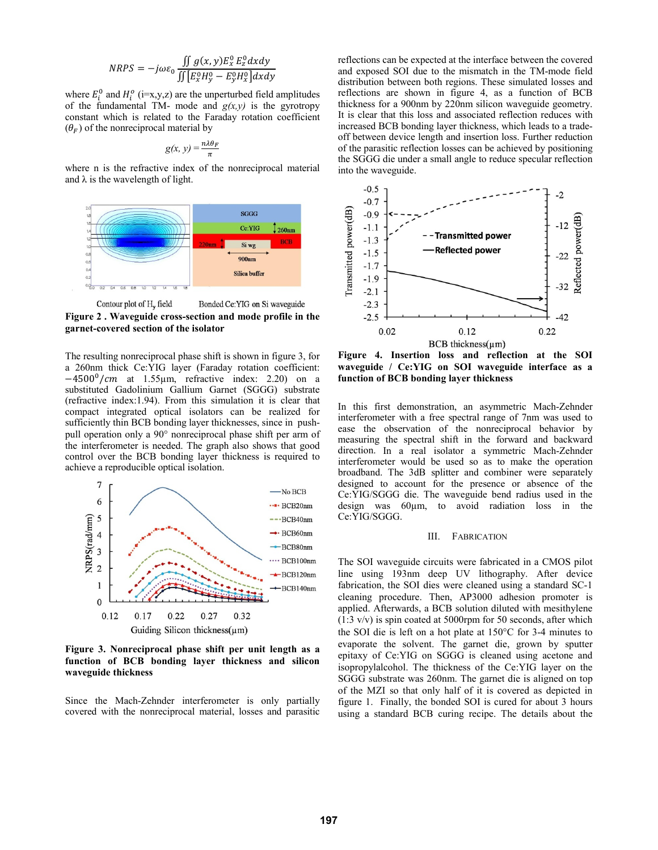$$
NRPS = -j\omega\varepsilon_0 \frac{\iint g(x, y) E_x^0 E_z^0 dx dy}{\iint [E_x^0 H_y^0 - E_y^0 H_x^0] dx dy}
$$

where  $E_i^0$  and  $H_i^o$  (i=x,y,z) are the unperturbed field amplitudes of the fundamental TM- mode and  $g(x, y)$  is the gyrotropy constant which is related to the Faraday rotation coefficient  $(\theta_F)$  of the nonreciprocal material by

$$
g(x, y) = \frac{n\lambda\theta_F}{\pi}
$$

where n is the refractive index of the nonreciprocal material and  $\lambda$  is the wavelength of light.



Contour plot of H<sub>y</sub> field Bonded Ce: YIG on Si waveguide **Figure 2 . Waveguide cross-section and mode profile in the garnet-covered section of the isolator** 

The resulting nonreciprocal phase shift is shown in figure 3, for a 260nm thick Ce:YIG layer (Faraday rotation coefficient:  $-4500^{\circ}/cm$  at 1.55µm, refractive index: 2.20) on a substituted Gadolinium Gallium Garnet (SGGG) substrate (refractive index:1.94). From this simulation it is clear that compact integrated optical isolators can be realized for sufficiently thin BCB bonding layer thicknesses, since in pushpull operation only a 90° nonreciprocal phase shift per arm of the interferometer is needed. The graph also shows that good control over the BCB bonding layer thickness is required to achieve a reproducible optical isolation.



**Figure 3. Nonreciprocal phase shift per unit length as a function of BCB bonding layer thickness and silicon waveguide thickness** 

Since the Mach-Zehnder interferometer is only partially covered with the nonreciprocal material, losses and parasitic reflections can be expected at the interface between the covered and exposed SOI due to the mismatch in the TM-mode field distribution between both regions. These simulated losses and reflections are shown in figure 4, as a function of BCB thickness for a 900nm by 220nm silicon waveguide geometry. It is clear that this loss and associated reflection reduces with increased BCB bonding layer thickness, which leads to a tradeoff between device length and insertion loss. Further reduction of the parasitic reflection losses can be achieved by positioning the SGGG die under a small angle to reduce specular reflection into the waveguide.



**Figure 4. Insertion loss and reflection at the SOI waveguide / Ce:YIG on SOI waveguide interface as a function of BCB bonding layer thickness** 

In this first demonstration, an asymmetric Mach-Zehnder interferometer with a free spectral range of 7nm was used to ease the observation of the nonreciprocal behavior by measuring the spectral shift in the forward and backward direction. In a real isolator a symmetric Mach-Zehnder interferometer would be used so as to make the operation broadband. The 3dB splitter and combiner were separately designed to account for the presence or absence of the Ce:YIG/SGGG die. The waveguide bend radius used in the design was 60µm, to avoid radiation loss in the Ce:YIG/SGGG.

## III. FABRICATION

The SOI waveguide circuits were fabricated in a CMOS pilot line using 193nm deep UV lithography. After device fabrication, the SOI dies were cleaned using a standard SC-1 cleaning procedure. Then, AP3000 adhesion promoter is applied. Afterwards, a BCB solution diluted with mesithylene (1:3 v/v) is spin coated at 5000rpm for 50 seconds, after which the SOI die is left on a hot plate at 150°C for 3-4 minutes to evaporate the solvent. The garnet die, grown by sputter epitaxy of Ce:YIG on SGGG is cleaned using acetone and isopropylalcohol. The thickness of the Ce:YIG layer on the SGGG substrate was 260nm. The garnet die is aligned on top of the MZI so that only half of it is covered as depicted in figure 1. Finally, the bonded SOI is cured for about 3 hours using a standard BCB curing recipe. The details about the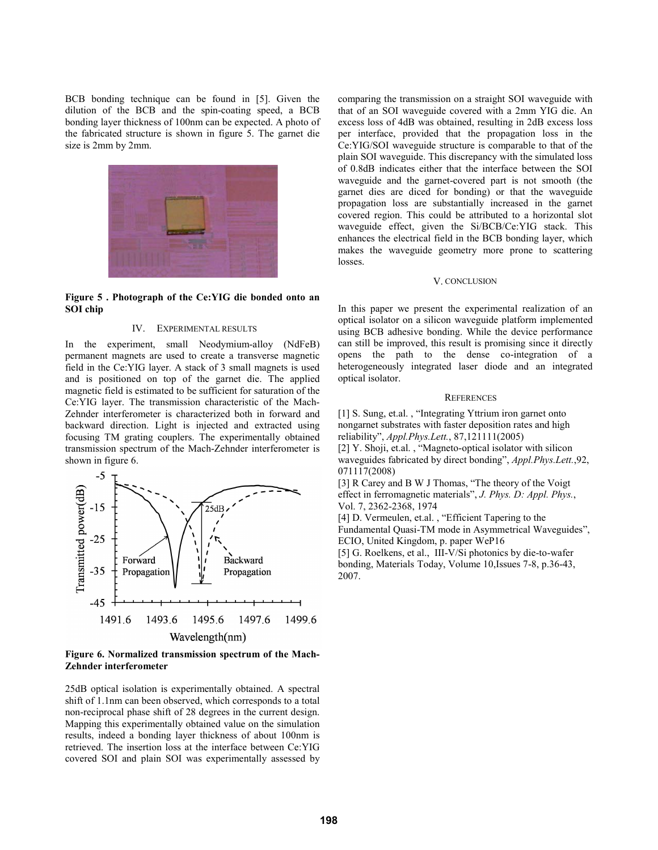BCB bonding technique can be found in [5]. Given the dilution of the BCB and the spin-coating speed, a BCB bonding layer thickness of 100nm can be expected. A photo of the fabricated structure is shown in figure 5. The garnet die size is 2mm by 2mm.



**Figure 5 . Photograph of the Ce:YIG die bonded onto an SOI chip** 

#### IV. EXPERIMENTAL RESULTS

In the experiment, small Neodymium-alloy (NdFeB) permanent magnets are used to create a transverse magnetic field in the Ce:YIG layer. A stack of 3 small magnets is used and is positioned on top of the garnet die. The applied magnetic field is estimated to be sufficient for saturation of the Ce:YIG layer. The transmission characteristic of the Mach-Zehnder interferometer is characterized both in forward and backward direction. Light is injected and extracted using focusing TM grating couplers. The experimentally obtained transmission spectrum of the Mach-Zehnder interferometer is shown in figure 6.



**Figure 6. Normalized transmission spectrum of the Mach-Zehnder interferometer** 

25dB optical isolation is experimentally obtained. A spectral shift of 1.1nm can been observed, which corresponds to a total non-reciprocal phase shift of 28 degrees in the current design. Mapping this experimentally obtained value on the simulation results, indeed a bonding layer thickness of about 100nm is retrieved. The insertion loss at the interface between Ce:YIG covered SOI and plain SOI was experimentally assessed by

comparing the transmission on a straight SOI waveguide with that of an SOI waveguide covered with a 2mm YIG die. An excess loss of 4dB was obtained, resulting in 2dB excess loss per interface, provided that the propagation loss in the Ce:YIG/SOI waveguide structure is comparable to that of the plain SOI waveguide. This discrepancy with the simulated loss of 0.8dB indicates either that the interface between the SOI waveguide and the garnet-covered part is not smooth (the garnet dies are diced for bonding) or that the waveguide propagation loss are substantially increased in the garnet covered region. This could be attributed to a horizontal slot waveguide effect, given the Si/BCB/Ce:YIG stack. This enhances the electrical field in the BCB bonding layer, which makes the waveguide geometry more prone to scattering losses.

#### V. CONCLUSION

In this paper we present the experimental realization of an optical isolator on a silicon waveguide platform implemented using BCB adhesive bonding. While the device performance can still be improved, this result is promising since it directly opens the path to the dense co-integration of a heterogeneously integrated laser diode and an integrated optical isolator.

## **REFERENCES**

[1] S. Sung, et.al. , "Integrating Yttrium iron garnet onto nongarnet substrates with faster deposition rates and high reliability", *Appl.Phys.Lett.*, 87,121111(2005)

[2] Y. Shoji, et.al., "Magneto-optical isolator with silicon waveguides fabricated by direct bonding", *Appl.Phys.Lett.*,92, 071117(2008)

[3] R Carey and B W J Thomas, "The theory of the Voigt effect in ferromagnetic materials", *J. Phys. D: Appl. Phys.*, Vol. 7, 2362-2368, 1974

[4] D. Vermeulen, et.al., "Efficient Tapering to the Fundamental Quasi-TM mode in Asymmetrical Waveguides", ECIO, United Kingdom, p. paper WeP16 [5] G. Roelkens, et al., III-V/Si photonics by die-to-wafer

bonding, Materials Today, Volume 10,Issues 7-8, p.36-43, 2007.